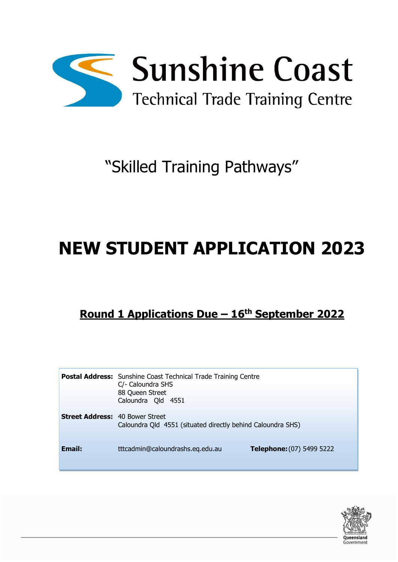

# "Skilled Training Pathways"

# **NEW STUDENT APPLICATION 2023**

# **Round 1 Applications Due – 16th September 2022**

|                                        | Postal Address: Sunshine Coast Technical Trade Training Centre<br>C/- Caloundra SHS<br>88 Queen Street<br>Caloundra Qld 4551 |                           |  |  |
|----------------------------------------|------------------------------------------------------------------------------------------------------------------------------|---------------------------|--|--|
| <b>Street Address: 40 Bower Street</b> | Caloundra Qld 4551 (situated directly behind Caloundra SHS)                                                                  |                           |  |  |
| <b>Email:</b>                          | tttcadmin@caloundrashs.eq.edu.au                                                                                             | Telephone: (07) 5499 5222 |  |  |

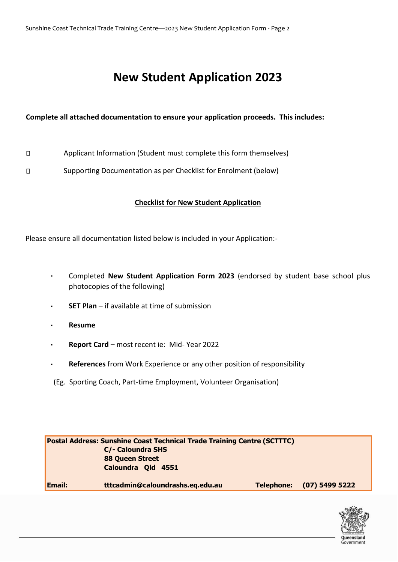# **New Student Application 2023**

#### **Complete all attached documentation to ensure your application proceeds. This includes:**

- $\Box$ Applicant Information (Student must complete this form themselves)
- $\Box$ Supporting Documentation as per Checklist for Enrolment (below)

#### **Checklist for New Student Application**

Please ensure all documentation listed below is included in your Application:-

- Completed **New Student Application Form 2023** (endorsed by student base school plus photocopies of the following)
- **SET Plan** if available at time of submission
- **Resume**
- **Report Card** most recent ie: Mid- Year 2022
- **References** from Work Experience or any other position of responsibility
- (Eg. Sporting Coach, Part-time Employment, Volunteer Organisation)

| <b>Postal Address: Sunshine Coast Technical Trade Training Centre (SCTTTC)</b> |                                  |            |                  |  |  |
|--------------------------------------------------------------------------------|----------------------------------|------------|------------------|--|--|
| <b>C/- Caloundra SHS</b>                                                       |                                  |            |                  |  |  |
|                                                                                | <b>88 Queen Street</b>           |            |                  |  |  |
|                                                                                | Caloundra Qld 4551               |            |                  |  |  |
|                                                                                |                                  |            |                  |  |  |
| Email:                                                                         | tttcadmin@caloundrashs.eq.edu.au | Telephone: | $(07)$ 5499 5222 |  |  |

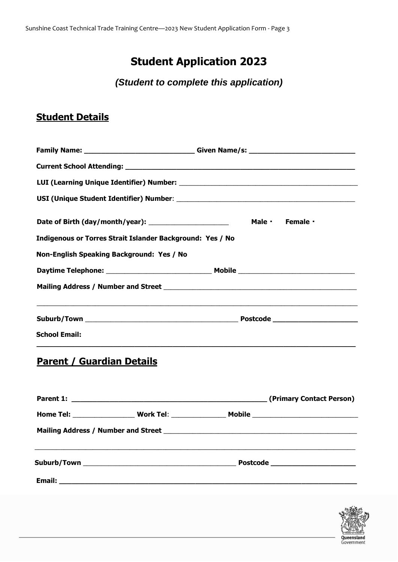# **Student Application 2023**

*(Student to complete this application)*

## **Student Details**

|                                                                                                                       | Family Name: ________________________________Given Name/s: _____________________ |
|-----------------------------------------------------------------------------------------------------------------------|----------------------------------------------------------------------------------|
|                                                                                                                       |                                                                                  |
|                                                                                                                       |                                                                                  |
| Date of Birth (day/month/year): ________________________<br>Indigenous or Torres Strait Islander Background: Yes / No | Male · Female ·                                                                  |
| Non-English Speaking Background: Yes / No                                                                             |                                                                                  |
|                                                                                                                       |                                                                                  |
|                                                                                                                       |                                                                                  |
|                                                                                                                       |                                                                                  |
| <b>School Email:</b>                                                                                                  |                                                                                  |
|                                                                                                                       |                                                                                  |

## **Parent / Guardian Details**

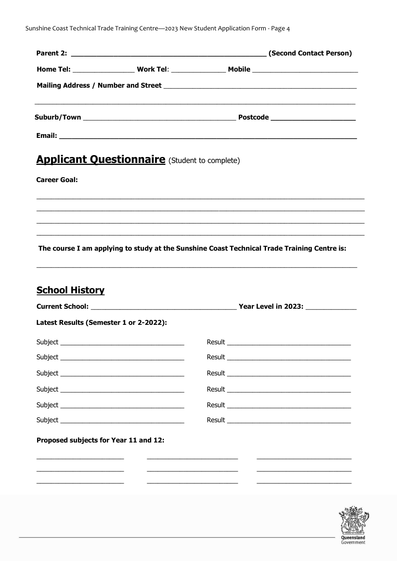Sunshine Coast Technical Trade Training Centre-2023 New Student Application Form - Page 4

|                                                                 |                                                      | <u> 1989 - Johann Harry Harry Harry Harry Harry Harry Harry Harry Harry Harry Harry Harry Harry Harry Harry Harry</u> |  |
|-----------------------------------------------------------------|------------------------------------------------------|-----------------------------------------------------------------------------------------------------------------------|--|
|                                                                 |                                                      |                                                                                                                       |  |
|                                                                 | <b>Applicant Questionnaire</b> (Student to complete) |                                                                                                                       |  |
| <b>Career Goal:</b>                                             |                                                      |                                                                                                                       |  |
|                                                                 |                                                      |                                                                                                                       |  |
|                                                                 |                                                      |                                                                                                                       |  |
|                                                                 |                                                      |                                                                                                                       |  |
|                                                                 |                                                      | The course I am applying to study at the Sunshine Coast Technical Trade Training Centre is:                           |  |
|                                                                 |                                                      |                                                                                                                       |  |
|                                                                 |                                                      |                                                                                                                       |  |
|                                                                 |                                                      |                                                                                                                       |  |
|                                                                 |                                                      |                                                                                                                       |  |
|                                                                 |                                                      |                                                                                                                       |  |
|                                                                 |                                                      |                                                                                                                       |  |
|                                                                 |                                                      |                                                                                                                       |  |
|                                                                 |                                                      |                                                                                                                       |  |
| <b>School History</b><br>Latest Results (Semester 1 or 2-2022): |                                                      |                                                                                                                       |  |
| Proposed subjects for Year 11 and 12:                           |                                                      |                                                                                                                       |  |

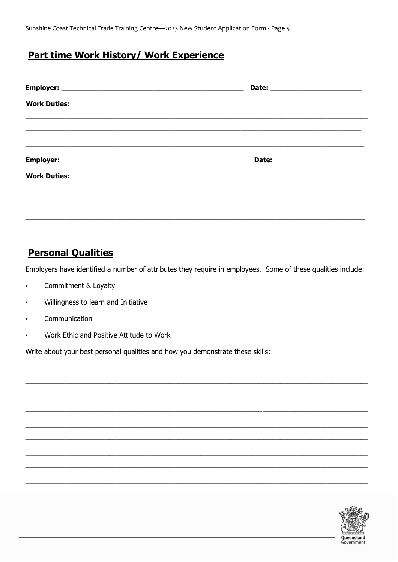Sunshine Coast Technical Trade Training Centre-2023 New Student Application Form - Page 5

#### **Part time Work History/ Work Experience**

|                     | Date: __________________________               |  |
|---------------------|------------------------------------------------|--|
| <b>Work Duties:</b> |                                                |  |
|                     |                                                |  |
|                     | Date: <u>_________________________________</u> |  |
| <b>Work Duties:</b> |                                                |  |
|                     |                                                |  |
|                     |                                                |  |

#### **Personal Qualities**

Employers have identified a number of attributes they require in employees. Some of these qualities include:

- Commitment & Loyalty
- Willingness to learn and Initiative
- Communication
- Work Ethic and Positive Attitude to Work  $\bullet$

Write about your best personal qualities and how you demonstrate these skills:

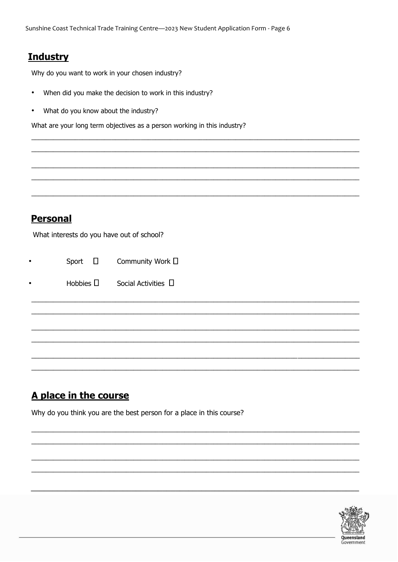### **Industry**

Why do you want to work in your chosen industry?

- When did you make the decision to work in this industry?  $\bullet$
- What do you know about the industry?  $\bullet$

What are your long term objectives as a person working in this industry?

### **Personal**

What interests do you have out of school?

|  | Sport |  | Community Work D |  |
|--|-------|--|------------------|--|
|--|-------|--|------------------|--|

|  | Hobbies $\Box$ | Social Activities <sup>[]</sup> |  |
|--|----------------|---------------------------------|--|
|--|----------------|---------------------------------|--|

## A place in the course

Why do you think you are the best person for a place in this course?